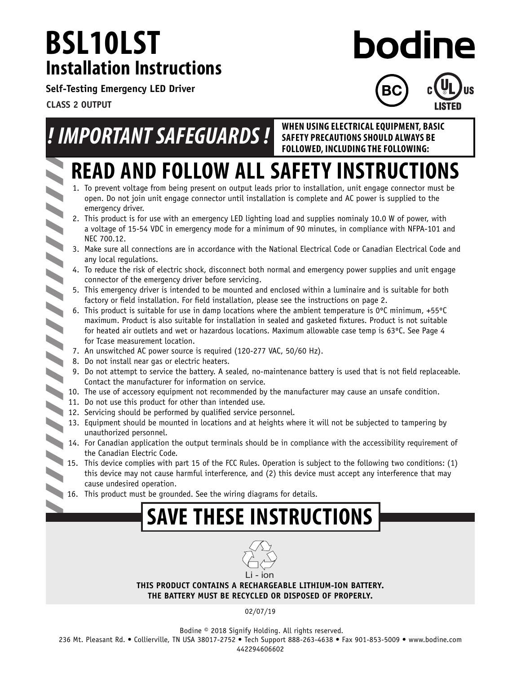## **BSL10LST Installation Instructions**

bodine

**Self-Testing Emergency LED Driver**

**CLASS 2 OUTPUT**

# *! IMPORTANT SAFEGUARDS !* **WHEN USING ELECTRICAL EQUIPMENT, BASIC**

 $\blacktriangleright$ 

**LISTED SAFETY PRECAUTIONS SHOULD ALWAYS BE FOLLOWED, INCLUDING THE FOLLOWING:**

# **READ AND FOLLOW ALL SAFETY INSTRUCTIONS**

- 1. To prevent voltage from being present on output leads prior to installation, unit engage connector must be open. Do not join unit engage connector until installation is complete and AC power is supplied to the emergency driver.
- 2. This product is for use with an emergency LED lighting load and supplies nominaly 10.0 W of power, with a voltage of 15-54 VDC in emergency mode for a minimum of 90 minutes, in compliance with NFPA-101 and NEC 700.12.
- 3. Make sure all connections are in accordance with the National Electrical Code or Canadian Electrical Code and any local regulations.
- connector of the emergency driver before servicing.
- 4. To reduce the risk of electric shock, disconnect both normal and emergency power supplies and unit engage<br>connector of the emergency driver before servicing.<br>5. This emergency driver is intended to be mounted and enclos 5. This emergency driver is intended to be mounted and enclosed within a luminaire and is suitable for both factory or field installation. For field installation, please see the instructions on page 2.
	- 6. This product is suitable for use in damp locations where the ambient temperature is  $0^{\circ}$ C minimum, +55 $^{\circ}$ C maximum. Product is also suitable for installation in sealed and gasketed fixtures. Product is not suitable for heated air outlets and wet or hazardous locations. Maximum allowable case temp is 63ºC. See Page 4 for Tcase measurement location.
	- 7. An unswitched AC power source is required (120-277 VAC, 50/60 Hz).
- 8. Do not install near gas or electric heaters.
	- 9. Do not attempt to service the battery. A sealed, no-maintenance battery is used that is not field replaceable. Contact the manufacturer for information on service.
- 10. The use of accessory equipment not recommended by the manufacturer may cause an unsafe condition.
	- 11. Do not use this product for other than intended use.
- 11. Do not use this product for service and the service personnel.
	- 13. Equipment should be mounted in locations and at heights where it will not be subjected to tampering by unauthorized personnel.
	- 14. For Canadian application the output terminals should be in compliance with the accessibility requirement of the Canadian Electric Code.
	- 15. This device complies with part 15 of the FCC Rules. Operation is subject to the following two conditions: (1) this device may not cause harmful interference, and (2) this device must accept any interference that may cause undesired operation.
	- 16. This product must be grounded. See the wiring diagrams for details.

## **SAVE THESE INSTRUCTIONS**



**THIS PRODUCT CONTAINS A RECHARGEABLE LITHIUM-ION BATTERY. THE BATTERY MUST BE RECYCLED OR DISPOSED OF PROPERLY.**

02/07/19

236 Mt. Pleasant Rd. • Collierville, TN USA 38017-2752 • Tech Support 888-263-4638 • Fax 901-853-5009 • www.bodine.com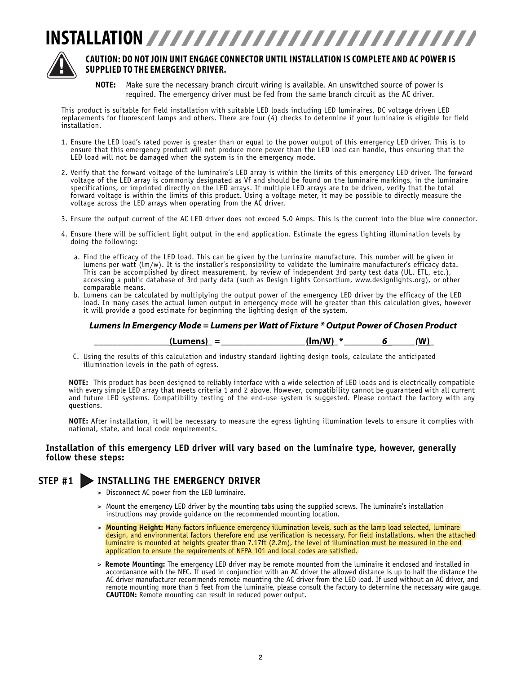## **INSTALLATION**



#### **CAUTION: DO NOT JOIN UNIT ENGAGE CONNECTOR UNTIL INSTALLATION IS COMPLETE AND AC POWER IS SUPPLIED TO THE EMERGENCY DRIVER.**

**NOTE:** Make sure the necessary branch circuit wiring is available. An unswitched source of power is required. The emergency driver must be fed from the same branch circuit as the AC driver.

This product is suitable for field installation with suitable LED loads including LED luminaires, DC voltage driven LED replacements for fluorescent lamps and others. There are four (4) checks to determine if your luminaire is eligible for field installation.

- 1. Ensure the LED load's rated power is greater than or equal to the power output of this emergency LED driver. This is to ensure that this emergency product will not produce more power than the LED load can handle, thus ensuring that the LED load will not be damaged when the system is in the emergency mode.
- 2. Verify that the forward voltage of the luminaire's LED array is within the limits of this emergency LED driver. The forward voltage of the LED array is commonly designated as Vf and should be found on the luminaire markings, in the luminaire specifications, or imprinted directly on the LED arrays. If multiple LED arrays are to be driven, verify that the total forward voltage is within the limits of this product. Using a voltage meter, it may be possible to directly measure the voltage across the LED arrays when operating from the AC driver.
- 3. Ensure the output current of the AC LED driver does not exceed 5.0 Amps. This is the current into the blue wire connector.
- 4. Ensure there will be sufficient light output in the end application. Estimate the egress lighting illumination levels by doing the following:
	- a. Find the efficacy of the LED load. This can be given by the luminaire manufacture. This number will be given in lumens per watt (lm/w). It is the installer's responsibility to validate the luminaire manufacturer's efficacy data. This can be accomplished by direct measurement, by review of independent 3rd party test data (UL, ETL, etc.), accessing a public database of 3rd party data (such as Design Lights Consortium, www.designlights.org), or other comparable means.
	- b. Lumens can be calculated by multiplying the output power of the emergency LED driver by the efficacy of the LED load. In many cases the actual lumen output in emergency mode will be greater than this calculation gives, however it will provide a good estimate for beginning the lighting design of the system.

#### *Lumens In Emergency Mode = Lumens per Watt of Fixture \* Output Power of Chosen Product*

| (lm/W)<br>.umens)<br>_<br>$\overline{\phantom{a}}$ |  | $\mathbf{M}$ |
|----------------------------------------------------|--|--------------|
|----------------------------------------------------|--|--------------|

C. Using the results of this calculation and industry standard lighting design tools, calculate the anticipated illumination levels in the path of egress.

**NOTE:** This product has been designed to reliably interface with a wide selection of LED loads and is electrically compatible with every simple LED array that meets criteria 1 and 2 above. However, compatibility cannot be guaranteed with all current and future LED systems. Compatibility testing of the end-use system is suggested. Please contact the factory with any questions.

**NOTE:** After installation, it will be necessary to measure the egress lighting illumination levels to ensure it complies with national, state, and local code requirements.

#### **Installation of this emergency LED driver will vary based on the luminaire type, however, generally follow these steps:**

#### **STEP #1 INSTALLING THE EMERGENCY DRIVER**

- > Disconnect AC power from the LED luminaire.
- > Mount the emergency LED driver by the mounting tabs using the supplied screws. The luminaire's installation instructions may provide quidance on the recommended mounting location.
- > **Mounting Height:** Many factors influence emergency illumination levels, such as the lamp load selected, luminare design, and environmental factors therefore end use verification is necessary. For field installations, when the attached luminaire is mounted at heights greater than 7.17ft (2.2m), the level of illumination must be measured in the end application to ensure the requirements of NFPA 101 and local codes are satisfied.
- > **Remote Mounting:** The emergency LED driver may be remote mounted from the luminaire it enclosed and installed in accordanance with the NEC. If used in conjunction with an AC driver the allowed distance is up to half the distance the AC driver manufacturer recommends remote mounting the AC driver from the LED load. If used without an AC driver, and remote mounting more than 5 feet from the luminaire, please consult the factory to determine the necessary wire gauge. **CAUTION:** Remote mounting can result in reduced power output.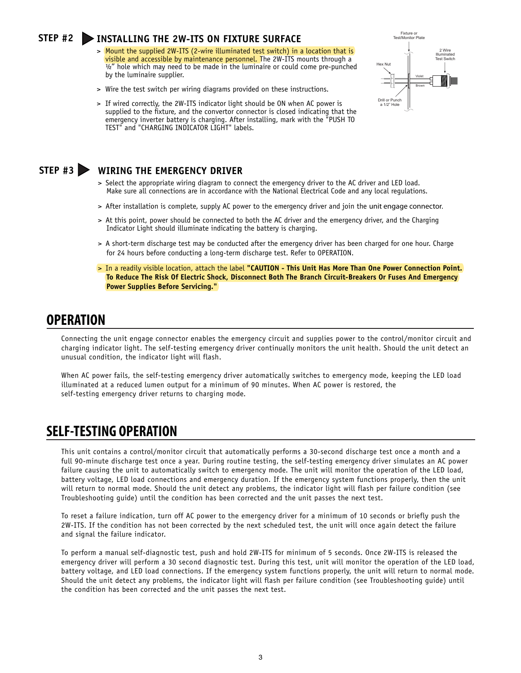#### **STEP #2 INSTALLING THE 2W-ITS ON FIXTURE SURFACE**

- > Mount the supplied 2W-ITS (2-wire illuminated test switch) in a location that is visible and accessible by maintenance personnel. The 2W-ITS mounts through a  $\frac{1}{2}$ " hole which may need to be made in the luminaire or could come pre-punched by the luminaire supplier.
- > Wire the test switch per wiring diagrams provided on these instructions.
- > If wired correctly, the 2W-ITS indicator light should be ON when AC power is supplied to the fixture, and the convertor connector is closed indicating that the emergency inverter battery is charging. After installing, mark with the "PUSH TO TEST" and "CHARGING INDICATOR LIGHT" labels.



#### **STEP #3 WIRING THE EMERGENCY DRIVER**

- > Select the appropriate wiring diagram to connect the emergency driver to the AC driver and LED load. Make sure all connections are in accordance with the National Electrical Code and any local regulations.
- > After installation is complete, supply AC power to the emergency driver and join the unit engage connector.
- > At this point, power should be connected to both the AC driver and the emergency driver, and the Charging Indicator Light should illuminate indicating the battery is charging.
- > A short-term discharge test may be conducted after the emergency driver has been charged for one hour. Charge for 24 hours before conducting a long-term discharge test. Refer to OPERATION.
- > In a readily visible location, attach the label **"CAUTION This Unit Has More Than One Power Connection Point. To Reduce The Risk Of Electric Shock, Disconnect Both The Branch Circuit-Breakers Or Fuses And Emergency Power Supplies Before Servicing."**

### **OPERATION**

Connecting the unit engage connector enables the emergency circuit and supplies power to the control/monitor circuit and charging indicator light. The self-testing emergency driver continually monitors the unit health. Should the unit detect an unusual condition, the indicator light will flash.

When AC power fails, the self-testing emergency driver automatically switches to emergency mode, keeping the LED load illuminated at a reduced lumen output for a minimum of 90 minutes. When AC power is restored, the self-testing emergency driver returns to charging mode.

### **SELF-TESTING OPERATION**

This unit contains a control/monitor circuit that automatically performs a 30-second discharge test once a month and a full 90-minute discharge test once a year. During routine testing, the self-testing emergency driver simulates an AC power failure causing the unit to automatically switch to emergency mode. The unit will monitor the operation of the LED load, battery voltage, LED load connections and emergency duration. If the emergency system functions properly, then the unit will return to normal mode. Should the unit detect any problems, the indicator light will flash per failure condition (see Troubleshooting guide) until the condition has been corrected and the unit passes the next test.

To reset a failure indication, turn off AC power to the emergency driver for a minimum of 10 seconds or briefly push the 2W-ITS. If the condition has not been corrected by the next scheduled test, the unit will once again detect the failure and signal the failure indicator.

To perform a manual self-diagnostic test, push and hold 2W-ITS for minimum of 5 seconds. Once 2W-ITS is released the emergency driver will perform a 30 second diagnostic test. During this test, unit will monitor the operation of the LED load, battery voltage, and LED load connections. If the emergency system functions properly, the unit will return to normal mode. Should the unit detect any problems, the indicator light will flash per failure condition (see Troubleshooting guide) until the condition has been corrected and the unit passes the next test.